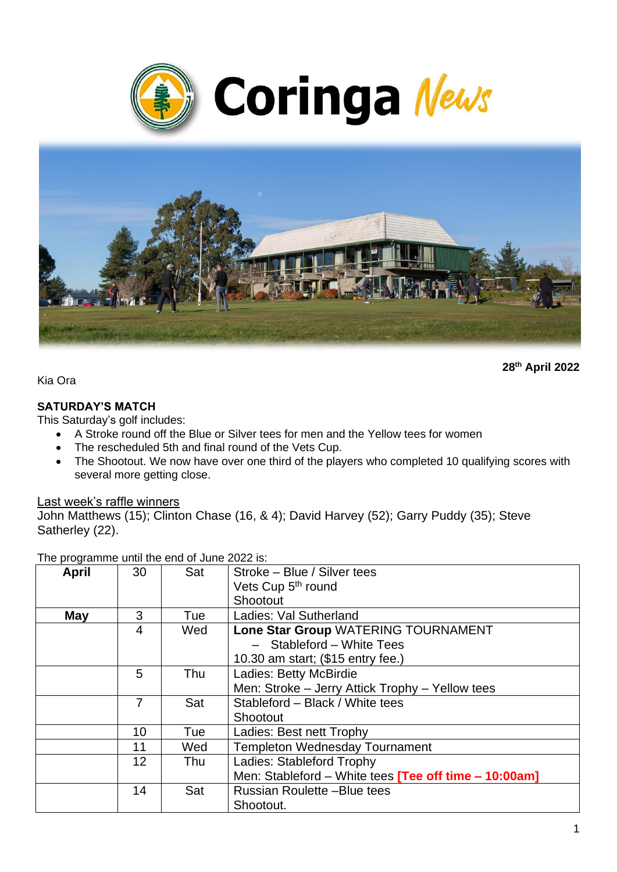



**28th April 2022**

Kia Ora

### **SATURDAY'S MATCH**

This Saturday's golf includes:

- A Stroke round off the Blue or Silver tees for men and the Yellow tees for women
- The rescheduled 5th and final round of the Vets Cup.
- The Shootout. We now have over one third of the players who completed 10 qualifying scores with several more getting close.

#### Last week's raffle winners

John Matthews (15); Clinton Chase (16, & 4); David Harvey (52); Garry Puddy (35); Steve Satherley (22).

The programme until the end of June 2022 is:

| <b>April</b> | 30             | Sat | Stroke - Blue / Silver tees                                 |
|--------------|----------------|-----|-------------------------------------------------------------|
|              |                |     |                                                             |
|              |                |     | Vets Cup 5 <sup>th</sup> round                              |
|              |                |     | Shootout                                                    |
| May          | 3              | Tue | Ladies: Val Sutherland                                      |
|              | $\overline{4}$ | Wed | Lone Star Group WATERING TOURNAMENT                         |
|              |                |     | - Stableford - White Tees                                   |
|              |                |     | 10.30 am start; (\$15 entry fee.)                           |
|              | 5              | Thu | Ladies: Betty McBirdie                                      |
|              |                |     | Men: Stroke - Jerry Attick Trophy - Yellow tees             |
|              | 7              | Sat | Stableford - Black / White tees                             |
|              |                |     | Shootout                                                    |
|              | 10             | Tue | Ladies: Best nett Trophy                                    |
|              | 11             | Wed | <b>Templeton Wednesday Tournament</b>                       |
|              | 12             | Thu | Ladies: Stableford Trophy                                   |
|              |                |     | Men: Stableford - White tees <b>Tee off time - 10:00am]</b> |
|              | 14             | Sat | <b>Russian Roulette -Blue tees</b>                          |
|              |                |     | Shootout.                                                   |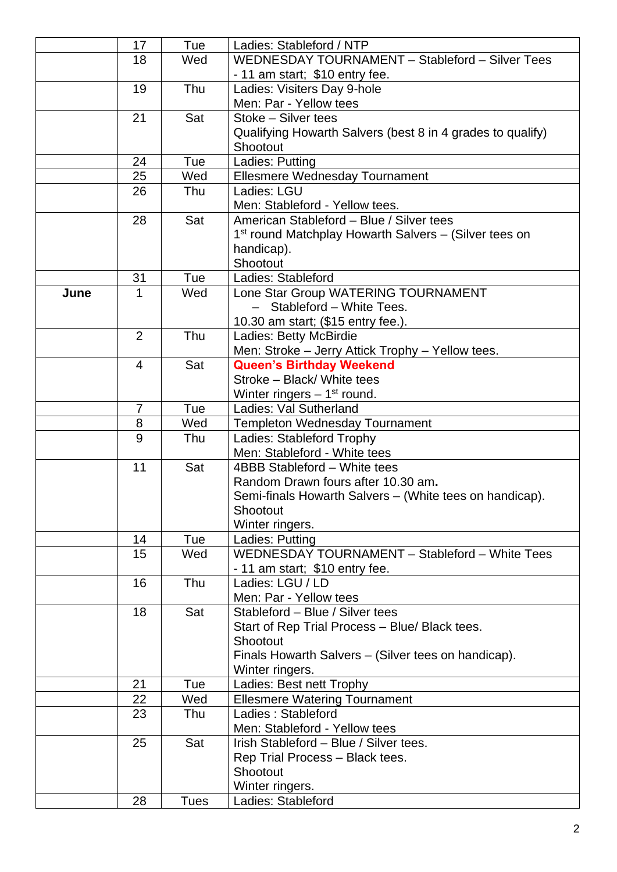|      | 17             | Tue         | Ladies: Stableford / NTP                                          |
|------|----------------|-------------|-------------------------------------------------------------------|
|      | 18             | Wed         | WEDNESDAY TOURNAMENT - Stableford - Silver Tees                   |
|      |                |             | - 11 am start; \$10 entry fee.                                    |
|      | 19             | Thu         | Ladies: Visiters Day 9-hole                                       |
|      |                |             | Men: Par - Yellow tees                                            |
|      | 21             | Sat         | Stoke - Silver tees                                               |
|      |                |             | Qualifying Howarth Salvers (best 8 in 4 grades to qualify)        |
|      |                |             | Shootout                                                          |
|      | 24             | Tue         | Ladies: Putting                                                   |
|      | 25             | Wed         | Ellesmere Wednesday Tournament                                    |
|      | 26             | Thu         | Ladies: LGU                                                       |
|      |                |             | Men: Stableford - Yellow tees.                                    |
|      | 28             | Sat         | American Stableford - Blue / Silver tees                          |
|      |                |             | 1 <sup>st</sup> round Matchplay Howarth Salvers - (Silver tees on |
|      |                |             | handicap).                                                        |
|      |                |             | Shootout                                                          |
|      | 31             | Tue         | Ladies: Stableford                                                |
| June | 1              | Wed         | Lone Star Group WATERING TOURNAMENT                               |
|      |                |             | - Stableford - White Tees.                                        |
|      |                |             | 10.30 am start; (\$15 entry fee.).                                |
|      | $\overline{2}$ | Thu         | Ladies: Betty McBirdie                                            |
|      |                |             | Men: Stroke - Jerry Attick Trophy - Yellow tees.                  |
|      | 4              | Sat         | <b>Queen's Birthday Weekend</b>                                   |
|      |                |             | Stroke - Black/ White tees                                        |
|      |                |             | Winter ringers $-1st$ round.                                      |
|      | 7              | Tue         | Ladies: Val Sutherland                                            |
|      | 8              | Wed         | <b>Templeton Wednesday Tournament</b>                             |
|      | 9              | Thu         | Ladies: Stableford Trophy                                         |
|      |                |             | Men: Stableford - White tees                                      |
|      | 11             | Sat         | 4BBB Stableford - White tees                                      |
|      |                |             | Random Drawn fours after 10.30 am.                                |
|      |                |             | Semi-finals Howarth Salvers - (White tees on handicap).           |
|      |                |             | Shootout                                                          |
|      |                |             | Winter ringers.                                                   |
|      | 14             | Tue         | Ladies: Putting                                                   |
|      | 15             | Wed         | WEDNESDAY TOURNAMENT - Stableford - White Tees                    |
|      |                |             | - 11 am start; \$10 entry fee.                                    |
|      | 16             | Thu         | Ladies: LGU / LD                                                  |
|      |                |             | Men: Par - Yellow tees                                            |
|      | 18             | Sat         | Stableford - Blue / Silver tees                                   |
|      |                |             | Start of Rep Trial Process - Blue/ Black tees.                    |
|      |                |             | Shootout                                                          |
|      |                |             | Finals Howarth Salvers – (Silver tees on handicap).               |
|      |                |             | Winter ringers.                                                   |
|      | 21             | Tue         | Ladies: Best nett Trophy                                          |
|      | 22             | Wed         | <b>Ellesmere Watering Tournament</b>                              |
|      | 23             | Thu         | Ladies: Stableford                                                |
|      |                |             | Men: Stableford - Yellow tees                                     |
|      | 25             | Sat         | Irish Stableford - Blue / Silver tees.                            |
|      |                |             | Rep Trial Process - Black tees.                                   |
|      |                |             | Shootout                                                          |
|      |                |             | Winter ringers.                                                   |
|      | 28             | <b>Tues</b> | Ladies: Stableford                                                |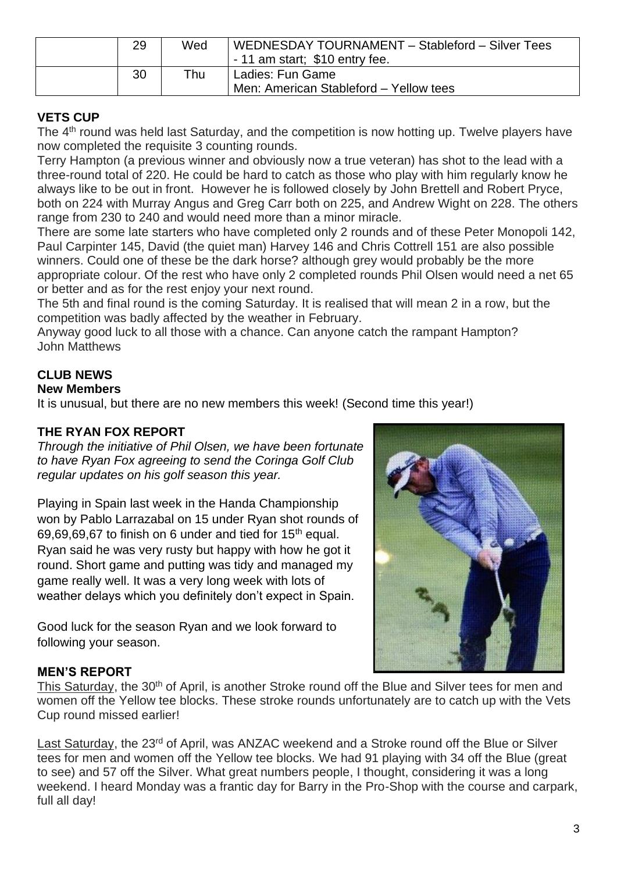| 29 | Wed | WEDNESDAY TOURNAMENT - Stableford - Silver Tees<br>- 11 am start; \$10 entry fee. |
|----|-----|-----------------------------------------------------------------------------------|
| 30 | ™hu | Ladies: Fun Game<br>Men: American Stableford - Yellow tees                        |

# **VETS CUP**

The 4th round was held last Saturday, and the competition is now hotting up. Twelve players have now completed the requisite 3 counting rounds.

Terry Hampton (a previous winner and obviously now a true veteran) has shot to the lead with a three-round total of 220. He could be hard to catch as those who play with him regularly know he always like to be out in front. However he is followed closely by John Brettell and Robert Pryce, both on 224 with Murray Angus and Greg Carr both on 225, and Andrew Wight on 228. The others range from 230 to 240 and would need more than a minor miracle.

There are some late starters who have completed only 2 rounds and of these Peter Monopoli 142, Paul Carpinter 145, David (the quiet man) Harvey 146 and Chris Cottrell 151 are also possible winners. Could one of these be the dark horse? although grey would probably be the more appropriate colour. Of the rest who have only 2 completed rounds Phil Olsen would need a net 65 or better and as for the rest enjoy your next round.

The 5th and final round is the coming Saturday. It is realised that will mean 2 in a row, but the competition was badly affected by the weather in February.

Anyway good luck to all those with a chance. Can anyone catch the rampant Hampton? John Matthews

# **CLUB NEWS**

### **New Members**

It is unusual, but there are no new members this week! (Second time this year!)

# **THE RYAN FOX REPORT**

*Through the initiative of Phil Olsen, we have been fortunate to have Ryan Fox agreeing to send the Coringa Golf Club regular updates on his golf season this year.*

Playing in Spain last week in the Handa Championship won by Pablo Larrazabal on 15 under Ryan shot rounds of 69,69,69,67 to finish on 6 under and tied for  $15<sup>th</sup>$  equal. Ryan said he was very rusty but happy with how he got it round. Short game and putting was tidy and managed my game really well. It was a very long week with lots of weather delays which you definitely don't expect in Spain.

Good luck for the season Ryan and we look forward to following your season.



## **MEN'S REPORT**

This Saturday, the 30<sup>th</sup> of April, is another Stroke round off the Blue and Silver tees for men and women off the Yellow tee blocks. These stroke rounds unfortunately are to catch up with the Vets Cup round missed earlier!

Last Saturday, the 23<sup>rd</sup> of April, was ANZAC weekend and a Stroke round off the Blue or Silver tees for men and women off the Yellow tee blocks. We had 91 playing with 34 off the Blue (great to see) and 57 off the Silver. What great numbers people, I thought, considering it was a long weekend. I heard Monday was a frantic day for Barry in the Pro-Shop with the course and carpark, full all day!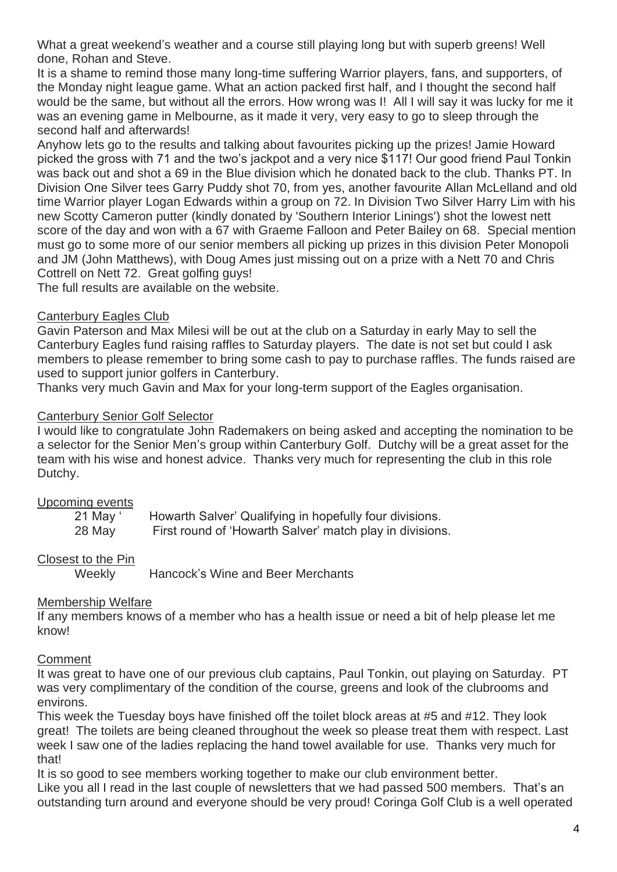What a great weekend's weather and a course still playing long but with superb greens! Well done, Rohan and Steve.

It is a shame to remind those many long-time suffering Warrior players, fans, and supporters, of the Monday night league game. What an action packed first half, and I thought the second half would be the same, but without all the errors. How wrong was I! All I will say it was lucky for me it was an evening game in Melbourne, as it made it very, very easy to go to sleep through the second half and afterwards!

Anyhow lets go to the results and talking about favourites picking up the prizes! Jamie Howard picked the gross with 71 and the two's jackpot and a very nice \$117! Our good friend Paul Tonkin was back out and shot a 69 in the Blue division which he donated back to the club. Thanks PT. In Division One Silver tees Garry Puddy shot 70, from yes, another favourite Allan McLelland and old time Warrior player Logan Edwards within a group on 72. In Division Two Silver Harry Lim with his new Scotty Cameron putter (kindly donated by 'Southern Interior Linings') shot the lowest nett score of the day and won with a 67 with Graeme Falloon and Peter Bailey on 68. Special mention must go to some more of our senior members all picking up prizes in this division Peter Monopoli and JM (John Matthews), with Doug Ames just missing out on a prize with a Nett 70 and Chris Cottrell on Nett 72. Great golfing guys!

The full results are available on the website.

### Canterbury Eagles Club

Gavin Paterson and Max Milesi will be out at the club on a Saturday in early May to sell the Canterbury Eagles fund raising raffles to Saturday players. The date is not set but could I ask members to please remember to bring some cash to pay to purchase raffles. The funds raised are used to support junior golfers in Canterbury.

Thanks very much Gavin and Max for your long-term support of the Eagles organisation.

## Canterbury Senior Golf Selector

I would like to congratulate John Rademakers on being asked and accepting the nomination to be a selector for the Senior Men's group within Canterbury Golf. Dutchy will be a great asset for the team with his wise and honest advice. Thanks very much for representing the club in this role Dutchy.

## Upcoming events

| 21 May ' | Howarth Salver' Qualifying in hopefully four divisions.  |
|----------|----------------------------------------------------------|
| 28 May   | First round of 'Howarth Salver' match play in divisions. |

## Closest to the Pin

Weekly Hancock's Wine and Beer Merchants

## Membership Welfare

If any members knows of a member who has a health issue or need a bit of help please let me know!

## **Comment**

It was great to have one of our previous club captains, Paul Tonkin, out playing on Saturday. PT was very complimentary of the condition of the course, greens and look of the clubrooms and environs.

This week the Tuesday boys have finished off the toilet block areas at #5 and #12. They look great! The toilets are being cleaned throughout the week so please treat them with respect. Last week I saw one of the ladies replacing the hand towel available for use. Thanks very much for that!

It is so good to see members working together to make our club environment better. Like you all I read in the last couple of newsletters that we had passed 500 members. That's an outstanding turn around and everyone should be very proud! Coringa Golf Club is a well operated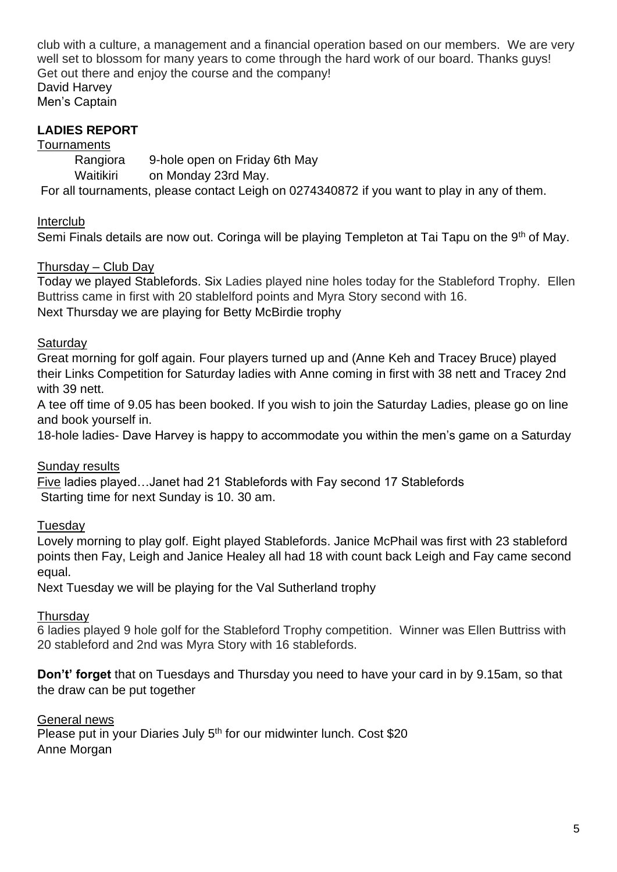club with a culture, a management and a financial operation based on our members. We are very well set to blossom for many years to come through the hard work of our board. Thanks guys! Get out there and enjoy the course and the company! David Harvey Men's Captain

# **LADIES REPORT**

**Tournaments** 

Rangiora 9-hole open on Friday 6th May Waitikiri on Monday 23rd May. For all tournaments, please contact Leigh on 0274340872 if you want to play in any of them.

Interclub

Semi Finals details are now out. Coringa will be playing Templeton at Tai Tapu on the 9<sup>th</sup> of May.

### Thursday – Club Day

Today we played Stablefords. Six Ladies played nine holes today for the Stableford Trophy. Ellen Buttriss came in first with 20 stablelford points and Myra Story second with 16. Next Thursday we are playing for Betty McBirdie trophy

#### **Saturdav**

Great morning for golf again. Four players turned up and (Anne Keh and Tracey Bruce) played their Links Competition for Saturday ladies with Anne coming in first with 38 nett and Tracey 2nd with 39 nett.

A tee off time of 9.05 has been booked. If you wish to join the Saturday Ladies, please go on line and book yourself in.

18-hole ladies- Dave Harvey is happy to accommodate you within the men's game on a Saturday

#### Sunday results

Five ladies played…Janet had 21 Stablefords with Fay second 17 Stablefords Starting time for next Sunday is 10. 30 am.

#### Tuesday

Lovely morning to play golf. Eight played Stablefords. Janice McPhail was first with 23 stableford points then Fay, Leigh and Janice Healey all had 18 with count back Leigh and Fay came second equal.

Next Tuesday we will be playing for the Val Sutherland trophy

#### **Thursday**

6 ladies played 9 hole golf for the Stableford Trophy competition. Winner was Ellen Buttriss with 20 stableford and 2nd was Myra Story with 16 stablefords.

**Don't' forget** that on Tuesdays and Thursday you need to have your card in by 9.15am, so that the draw can be put together

General news Please put in your Diaries July 5<sup>th</sup> for our midwinter lunch. Cost \$20 Anne Morgan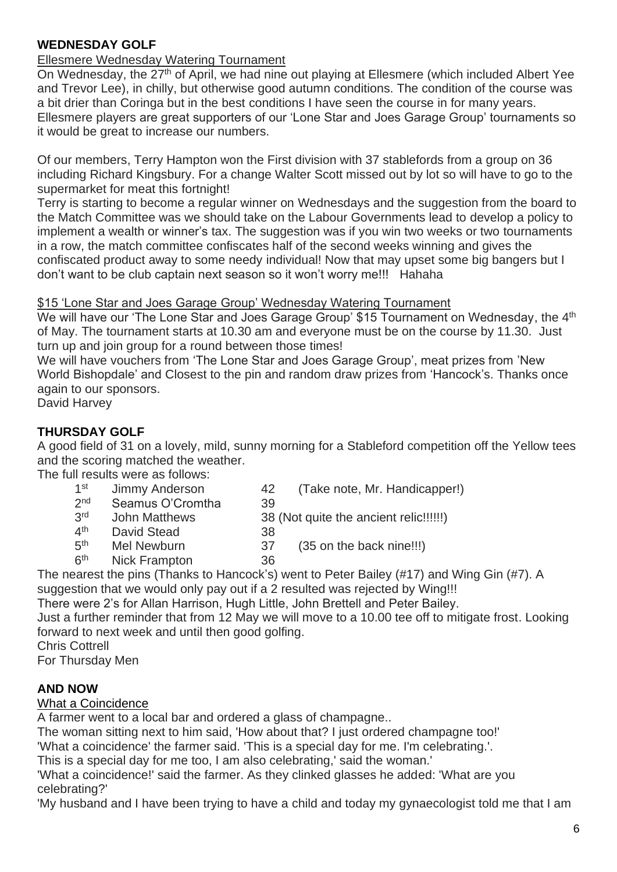### **WEDNESDAY GOLF**

# Ellesmere Wednesday Watering Tournament

On Wednesday, the 27<sup>th</sup> of April, we had nine out playing at Ellesmere (which included Albert Yee and Trevor Lee), in chilly, but otherwise good autumn conditions. The condition of the course was a bit drier than Coringa but in the best conditions I have seen the course in for many years. Ellesmere players are great supporters of our 'Lone Star and Joes Garage Group' tournaments so it would be great to increase our numbers.

Of our members, Terry Hampton won the First division with 37 stablefords from a group on 36 including Richard Kingsbury. For a change Walter Scott missed out by lot so will have to go to the supermarket for meat this fortnight!

Terry is starting to become a regular winner on Wednesdays and the suggestion from the board to the Match Committee was we should take on the Labour Governments lead to develop a policy to implement a wealth or winner's tax. The suggestion was if you win two weeks or two tournaments in a row, the match committee confiscates half of the second weeks winning and gives the confiscated product away to some needy individual! Now that may upset some big bangers but I don't want to be club captain next season so it won't worry me!!! Hahaha

#### \$15 'Lone Star and Joes Garage Group' Wednesday Watering Tournament

We will have our 'The Lone Star and Joes Garage Group' \$15 Tournament on Wednesday, the 4<sup>th</sup> of May. The tournament starts at 10.30 am and everyone must be on the course by 11.30. Just turn up and join group for a round between those times!

We will have vouchers from 'The Lone Star and Joes Garage Group', meat prizes from 'New World Bishopdale' and Closest to the pin and random draw prizes from 'Hancock's. Thanks once again to our sponsors.

David Harvey

## **THURSDAY GOLF**

A good field of 31 on a lovely, mild, sunny morning for a Stableford competition off the Yellow tees and the scoring matched the weather.

The full results were as follows:

- $1<sup>st</sup>$ Jimmy Anderson 42 (Take note, Mr. Handicapper!)
- $2<sub>nd</sub>$ Seamus O'Cromtha 39
	-
- 3rd John Matthews 38 (Not quite the ancient relic!!!!!!)  $4<sup>th</sup>$ David Stead 38
- $5<sup>th</sup>$ 
	- Mel Newburn 37 (35 on the back nine!!!)
- $6<sup>th</sup>$ Nick Frampton 36

The nearest the pins (Thanks to Hancock's) went to Peter Bailey (#17) and Wing Gin (#7). A

suggestion that we would only pay out if a 2 resulted was rejected by Wing!!!

There were 2's for Allan Harrison, Hugh Little, John Brettell and Peter Bailey.

Just a further reminder that from 12 May we will move to a 10.00 tee off to mitigate frost. Looking forward to next week and until then good golfing.

Chris Cottrell

For Thursday Men

#### **AND NOW**

What a Coincidence

A farmer went to a local bar and ordered a glass of champagne..

The woman sitting next to him said, 'How about that? I just ordered champagne too!'

'What a coincidence' the farmer said. 'This is a special day for me. I'm celebrating.'.

This is a special day for me too, I am also celebrating,' said the woman.'

'What a coincidence!' said the farmer. As they clinked glasses he added: 'What are you celebrating?'

'My husband and I have been trying to have a child and today my gynaecologist told me that I am